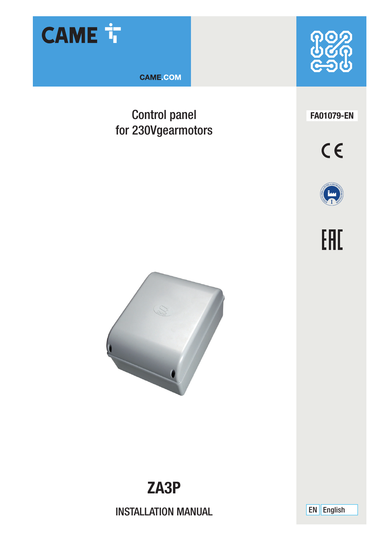

**CAME.COM** 

## Control panel for 230Vgearmotors



**FA01079-EN**









**ZA3P** 

INSTALLATION MANUAL EN English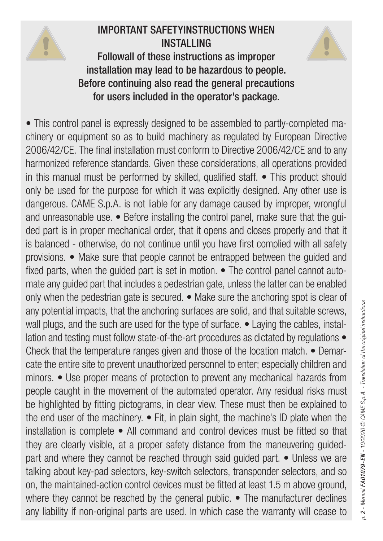

# IMPORTANT SAFETYINSTRUCTIONS WHEN INSTALLING



Followall of these instructions as improper installation may lead to be hazardous to people. Before continuing also read the general precautions for users included in the operator's package.

• This control panel is expressly designed to be assembled to partly-completed machinery or equipment so as to build machinery as regulated by European Directive 2006/42/CE. The final installation must conform to Directive 2006/42/CE and to any harmonized reference standards. Given these considerations, all operations provided in this manual must be performed by skilled, qualified staff. • This product should only be used for the purpose for which it was explicitly designed. Any other use is dangerous. CAME S.p.A. is not liable for any damage caused by improper, wrongful and unreasonable use. • Before installing the control panel, make sure that the guided part is in proper mechanical order, that it opens and closes properly and that it is balanced - otherwise, do not continue until you have first complied with all safety provisions. • Make sure that people cannot be entrapped between the guided and fixed parts, when the guided part is set in motion. • The control panel cannot automate any guided part that includes a pedestrian gate, unless the latter can be enabled only when the pedestrian gate is secured. • Make sure the anchoring spot is clear of any potential impacts, that the anchoring surfaces are solid, and that suitable screws, wall plugs, and the such are used for the type of surface. • Laying the cables, installation and testing must follow state-of-the-art procedures as dictated by regulations  $\bullet$ Check that the temperature ranges given and those of the location match. • Demarcate the entire site to prevent unauthorized personnel to enter; especially children and minors. • Use proper means of protection to prevent any mechanical hazards from people caught in the movement of the automated operator. Any residual risks must be highlighted by fitting pictograms, in clear view. These must then be explained to the end user of the machinery. • Fit, in plain sight, the machine's ID plate when the installation is complete • All command and control devices must be fitted so that they are clearly visible, at a proper safety distance from the maneuvering guidedpart and where they cannot be reached through said guided part. • Unless we are talking about key-pad selectors, key-switch selectors, transponder selectors, and so on, the maintained-action control devices must be fitted at least 1.5 m above ground, where they cannot be reached by the general public. • The manufacturer declines any liability if non-original parts are used. In which case the warranty will cease to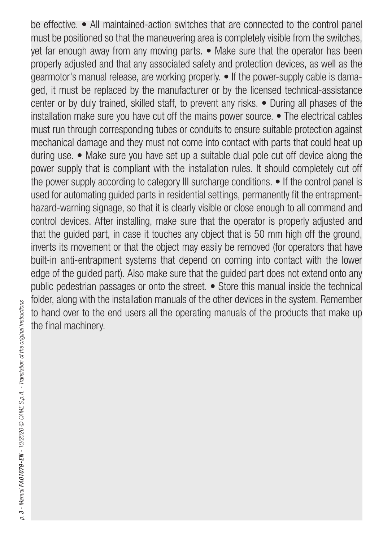be effective. • All maintained-action switches that are connected to the control panel must be positioned so that the maneuvering area is completely visible from the switches, yet far enough away from any moving parts. • Make sure that the operator has been properly adjusted and that any associated safety and protection devices, as well as the gearmotor's manual release, are working properly. • If the power-supply cable is damaged, it must be replaced by the manufacturer or by the licensed technical-assistance center or by duly trained, skilled staff, to prevent any risks. • During all phases of the installation make sure you have cut off the mains power source. • The electrical cables must run through corresponding tubes or conduits to ensure suitable protection against mechanical damage and they must not come into contact with parts that could heat up during use. • Make sure you have set up a suitable dual pole cut off device along the power supply that is compliant with the installation rules. It should completely cut off the power supply according to category III surcharge conditions. • If the control panel is used for automating guided parts in residential settings, permanently fit the entrapmenthazard-warning signage, so that it is clearly visible or close enough to all command and control devices. After installing, make sure that the operator is properly adjusted and that the guided part, in case it touches any object that is 50 mm high off the ground, inverts its movement or that the object may easily be removed (for operators that have built-in anti-entrapment systems that depend on coming into contact with the lower edge of the guided part). Also make sure that the guided part does not extend onto any public pedestrian passages or onto the street. • Store this manual inside the technical folder, along with the installation manuals of the other devices in the system. Remember to hand over to the end users all the operating manuals of the products that make up the final machinery.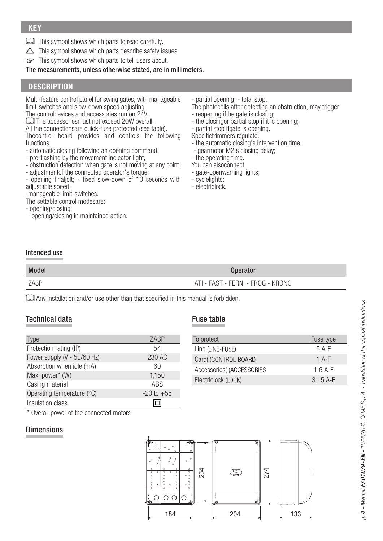- This symbol shows which parts to read carefully.
- $\triangle$  This symbol shows which parts describe safety issues
- This symbol shows which parts to tell users about.

The measurements, unless otherwise stated, are in millimeters.

### **DESCRIPTION**

Multi-feature control panel for swing gates, with manageable limit-switches and slow-down speed adjusting.

The controldevices and accessories run on 24V.

**LU** The accessoriesmust not exceed 20W overall.

All the connectionsare quick-fuse protected (see table). Thecontrol board provides and controls the following functions:

- automatic closing following an opening command;
- pre-flashing by the movement indicator-light;
- obstruction detection when gate is not moving at any point;
- adjustmentof the connected operator's torque;

- opening finaljolt; - fixed slow-down of 10 seconds with adjustable speed:

-manageable limit-switches:

- The settable control modesare:
- opening/closing;
- opening/closing in maintained action;

- partial opening; - total stop.

The photocells, after detecting an obstruction, may trigger:

- reopening ifthe gate is closing;
- the closingor partial stop if it is opening;
- partial stop ifgate is opening.

Specifictrimmers regulate:

- the automatic closing's intervention time;
- gearmotor M2's closing delay;
- the operating time.
- You can alsoconnect:
- gate-openwarning lights;
- cyclelights:
- electriclock.

### Intended use

| <b>Model</b> | <b>Operator</b>                   |
|--------------|-----------------------------------|
| ZA3P         | ATI - FAST - FERNI - FROG - KRONO |

Any installation and/or use other than that specified in this manual is forbidden.

### Technical data

| vpe                         | ZA3P           |
|-----------------------------|----------------|
| Protection rating (IP)      | 54             |
| Power supply (V - 50/60 Hz) | 230 AC         |
| Absorption when idle (mA)   | 60             |
| Max. power* (W)             | 1,150          |
| Casing material             | <b>ARS</b>     |
| Operating temperature (°C)  | $-20$ to $+55$ |
| Insulation class            |                |

Fuse table

| To protect               | Fuse type |
|--------------------------|-----------|
| Line (LINE-FUSE)         | $5A-F$    |
| Card()CONTROL BOARD      | $1$ A-F   |
| Accessories()ACCESSORIES | $1.6A-F$  |
| Electriclock (LOCK)      | $3.15A-F$ |

\* Overall power of the connected motors

### Dimensions

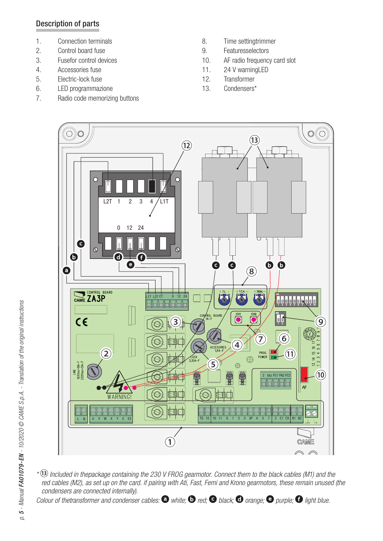### Description of parts

- 1. Connection terminals
- 2. Control board fuse
- 3. Fusefor control devices
- 4. Accessories fuse
- 5. Electric-lock fuse
- 6. LED programmazione
- 7. Radio code memorizing buttons
- 8. Time settingtrimmer<br>9. Featuresselectors
- **Featuresselectors**
- 10. AF radio frequency card slot
- 11. 24 V warningLED
- 12. Transformer
- 13. Condensers\*



\* Included in thepackage containing the 230 V FROG gearmotor. Connect them to the black cables (M1) and the red cables (M2), as set up on the card. if pairing with Ati, Fast, Ferni and Krono gearmotors, these remain unused (the condensers are connected internally).

Colour of thetransformer and condenser cables:  $\bm{\Theta}$  white;  $\bm{\Theta}$  red;  $\bm{\Theta}$  black;  $\bm{\Theta}$  orange;  $\bm{\Theta}$  purple;  $\bm{\Theta}$  light blue.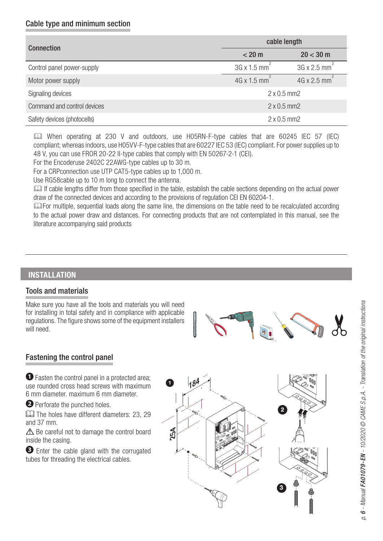### Cable type and minimum section

| Connection                  | cable length                    |                          |  |
|-----------------------------|---------------------------------|--------------------------|--|
|                             | < 20 m                          | $20 < 30 \text{ m}$      |  |
| Control panel power-supply  | $3G \times 1.5$ mm <sup>2</sup> | 3G x 2.5 mm <sup>2</sup> |  |
| Motor power supply          | $4G \times 1.5$ mm <sup>2</sup> | 4G x 2.5 mm              |  |
| Signaling devices           | $2 \times 0.5$ mm2              |                          |  |
| Command and control devices | $2 \times 0.5$ mm2              |                          |  |
| Safety devices (photocells) | $2 \times 0.5$ mm2              |                          |  |

 When operating at 230 V and outdoors, use H05RN-F-type cables that are 60245 IEC 57 (IEC) compliant; whereas indoors, use H05VV-F-type cables that are 60227 IEC 53 (IEC) compliant. For power supplies up to 48 V, you can use FROR 20-22 II-type cables that comply with EN 50267-2-1 (CEI).

For the Encoderuse 2402C 22AWG-type cables up to 30 m.

For a CRPconnection use UTP CAT5-type cables up to 1,000 m.

Use RG58cable up to 10 m long to connect the antenna.

 If cable lengths differ from those specified in the table, establish the cable sections depending on the actual power draw of the connected devices and according to the provisions of regulation CEI EN 60204-1.

For multiple, sequential loads along the same line, the dimensions on the table need to be recalculated according to the actual power draw and distances. For connecting products that are not contemplated in this manual, see the literature accompanying said products

### **INSTALLATION**

### Tools and materials

Make sure you have all the tools and materials you will need for installing in total safety and in compliance with applicable regulations. The figure shows some of the equipment installers will need.



### Fastening the control panel

 $\bullet$  Fasten the control panel in a protected area: use rounded cross head screws with maximum 6 mm diameter. maximum 6 mm diameter.

**O** Perforate the punched holes.

The holes have different diameters: 23, 29 and 37 mm.

 $\triangle$  Be careful not to damage the control board inside the casing.

 Enter the cable gland with the corrugated tubes for threading the electrical cables.

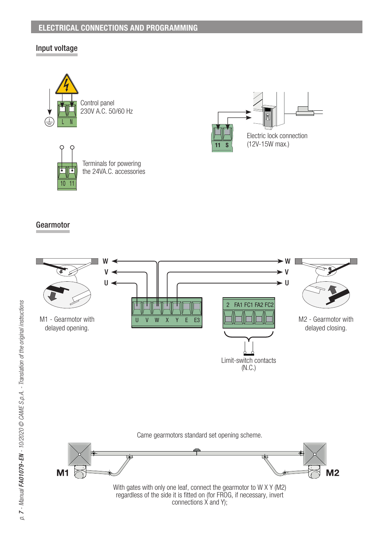### **ELECTRICAL CONNECTIONS AND PROGRAMMING**

### Input voltage







Terminals for powering the 24VA.C. accessories

### Gearmotor

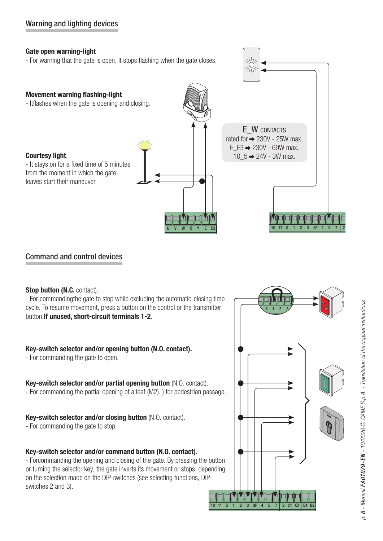### **Gate open warning-light**

- For warning that the gate is open. It stops flashing when the gate closes.



NII)

### Command and control devices

### **Stop button (N.C. contact).**

- For commandingthe gate to stop while excluding the automatic-closing time cycle. To resume movement, press a button on the control or the transmitter button.**If unused, short-circuit terminals 1-2**.

### **Key-switch selector and/or opening button (N.O. contact).**

- For commanding the gate to open.

### **Key-switch selector and/or partial opening button** (N.O. contact).

- For commanding the partial opening of a leaf (M2). ) for pedestrian passage.

### **Key-switch selector and/or closing button** (N.O. contact).

- For commanding the gate to stop.

### **Key-switch selector and/or command button (N.O. contact).**

- Forcommanding the opening and closing of the gate. By pressing the button or turning the selector key, the gate inverts its movement or stops, depending on the selection made on the DIP-switches (see selecting functions, DIPswitches 2 and 3).

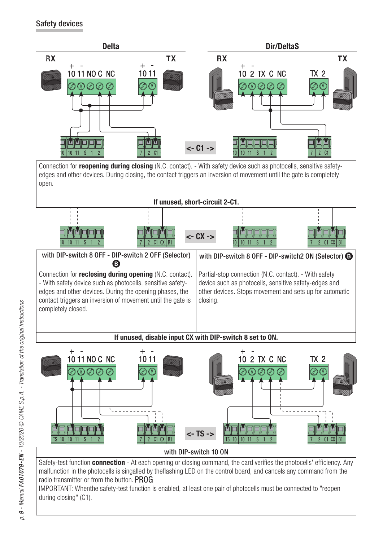### Safety devices



with DIP-switch 8 OFF - DIP-switch 2 OFF (Selector) with DIP-switch 8 OFF - DIP-switch2 ON (Selector)  $\bigcirc$ Connection for **reclosing during opening** (N.C. contact). - With safety device such as photocells, sensitive safetyedges and other devices. During the opening phases, the contact triggers an inversion of movement until the gate is completely closed. Partial-stop connection (N.C. contact). - With safety device such as photocells, sensitive safety-edges and other devices. Stops movement and sets up for automatic closing.

**If unused, disable input CX with DIP-switch 8 set to ON.**



Safety-test function **connection** - At each opening or closing command, the card verifies the photocells' efficiency. Any malfunction in the photocells is singalled by theflashing LED on the control board, and cancels any command from the radio transmitter or from the button. PROG

IMPORTANT: Whenthe safety-test function is enabled, at least one pair of photocells must be connected to "reopen during closing" (C1).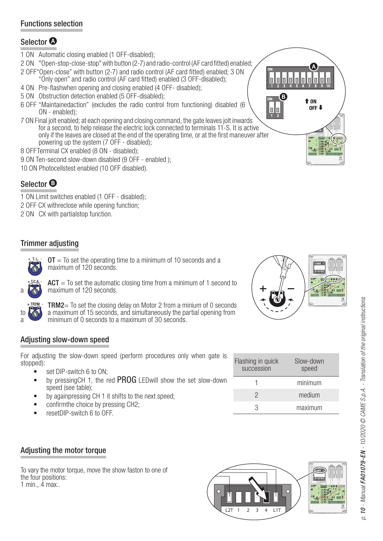### Functions selection

### Selector <sup>1</sup>

- 1 ON Automatic closing enabled (1 OFF-disabled);
- 2 ON "Open-stop-close-stop" with button (2-7) and radio-control (AF card fitted) enabled;
- 2 OFF"Open-close" with button (2-7) and radio control (AF card fi tted) enabled; 3 ON "Only open" and radio control (AF card fi tted) enabled (3 OFF-disabled);
- 4 ON Pre-flashwhen opening and closing enabled (4 OFF- disabled);
- 5 ON Obstruction detection enabled (5 OFF-disabled);
- 6 OFF "Maintainedaction" (excludes the radio control from functioning) disabled (6 ON - enabled);
- 7 ON Final jolt enabled; at each opening and closing command, the gate leaves jolt inwards for a second, to help release the electric lock connected to terminals 11-S. It is active only if the leaves are closed at the end of the operating time, or at the first maneuver after powering up the system (7 OFF - disabled);
- 8 OFFTerminal CX enabled (8 ON disabled);
- 9 ON Ten-second slow-down disabled (9 OFF enabled );
- 10 ON Photocellstest enabled (10 OFF disabled).

### Selector <sup>O</sup>

- 1 ON Limit switches enabled (1 OFF disabled);
- 2 OFF CX withreclose while opening function;
- 2 ON CX with partialstop function.

### Trimmer adjusting



 $OT = To$  set the operating time to a minimum of 10 seconds and a maximum of 120 seconds.



 $ACT = To set the automatic closing time from a minimum of 1 second to$ maximum of 120 seconds.



TRM2= To set the closing delay on Motor 2 from a minium of 0 seconds to a maximum of 15 seconds, and simultaneously the partial opening from<br>minimum of 0 seconds to a maximum of 30 seconds minimum of 0 seconds to a maximum of 30 seconds.

### Adjusting slow-down speed

For adjusting the slow-down speed (perform procedures only when gate is stopped):

- set DIP-switch 6 to ON:
- by pressing CH 1, the red PROG LEDwill show the set slow-down speed (see table);
- by againpressing CH 1 it shifts to the next speed;
- confirmthe choice by pressing CH2;
- resetDIP-switch 6 to OFF.



| Flashing in quick<br>succession | Slow-down<br>speed |
|---------------------------------|--------------------|
|                                 | minimum            |
| 2                               | medium             |
| ર                               | maximum            |

### Adjusting the motor torque

To vary the motor torque, move the show faston to one of the four positions: 1 min., 4 max..



 $\mathbf{a}$ 

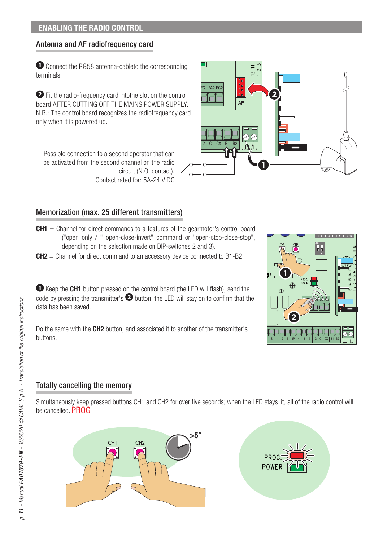### **ENABLING THE RADIO CONTROL**

### Antenna and AF radiofrequency card

 Connect the RG58 antenna-cableto the corresponding terminals.

 Fit the radio-frequency card intothe slot on the control board AFTER CUTTING OFF THE MAINS POWER SUPPLY. N.B.: The control board recognizes the radiofrequency card only when it is powered up.

Possible connection to a second operator that can be activated from the second channel on the radio circuit (N.O. contact). Contact rated for: 5A-24 V DC

# 2 C1 CX | B1 B2

FC1 FA2 FC2

 $\Box$ 

### Memorization (max. 25 different transmitters)

- **CH1** = Channel for direct commands to a features of the gearmotor's control board ("open only / " open-close-invert" command or "open-stop-close-stop", depending on the selection made on DIP-switches 2 and 3).
- **CH2** = Channel for direct command to an accessory device connected to B1-B2.

**T** Keep the CH1 button pressed on the control board (the LED will flash), send the code by pressing the transmitter's  $\bullet$  button, the LED will stay on to confirm that the data has been saved.

Do the same with the **CH2** button, and associated it to another of the transmitter's buttons.

# S 1 2 3 3P 4 5 7 2 C1 CX B1 B2  $\sqrt{2}$   $\times$  21 FA2 FU2

nis de desir de desir de de

### Totally cancelling the memory

Simultaneously keep pressed buttons CH1 and CH2 for over five seconds; when the LED stays lit, all of the radio control will be cancelled. **PROG**